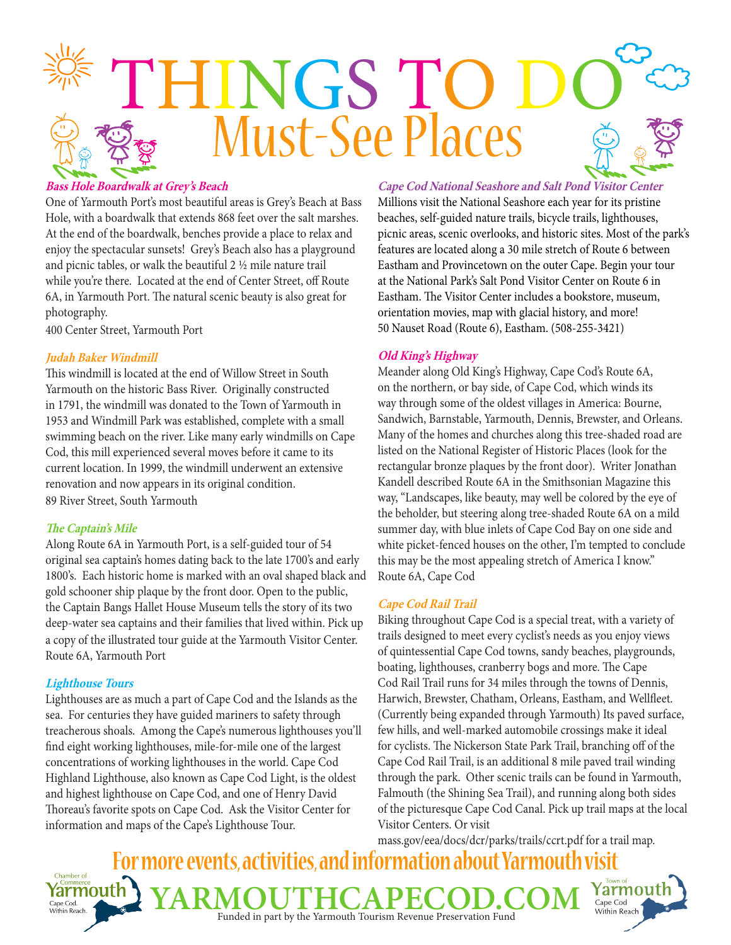

## **Bass Hole Boardwalk at Grey's Beach**

One of Yarmouth Port's most beautiful areas is Grey's Beach at Bass Hole, with a boardwalk that extends 868 feet over the salt marshes. At the end of the boardwalk, benches provide a place to relax and enjoy the spectacular sunsets! Grey's Beach also has a playground and picnic tables, or walk the beautiful 2 ½ mile nature trail while you're there. Located at the end of Center Street, off Route 6A, in Yarmouth Port. The natural scenic beauty is also great for photography.

400 Center Street, Yarmouth Port

### **Judah Baker Windmill**

This windmill is located at the end of Willow Street in South Yarmouth on the historic Bass River. Originally constructed in 1791, the windmill was donated to the Town of Yarmouth in 1953 and Windmill Park was established, complete with a small swimming beach on the river. Like many early windmills on Cape Cod, this mill experienced several moves before it came to its current location. In 1999, the windmill underwent an extensive renovation and now appears in its original condition. 89 River Street, South Yarmouth

### **The Captain's Mile**

Along Route 6A in Yarmouth Port, is a self-guided tour of 54 original sea captain's homes dating back to the late 1700's and early 1800's. Each historic home is marked with an oval shaped black and gold schooner ship plaque by the front door. Open to the public, the Captain Bangs Hallet House Museum tells the story of its two deep-water sea captains and their families that lived within. Pick up a copy of the illustrated tour guide at the Yarmouth Visitor Center. Route 6A, Yarmouth Port

## **Lighthouse Tours**

Lighthouses are as much a part of Cape Cod and the Islands as the sea. For centuries they have guided mariners to safety through treacherous shoals. Among the Cape's numerous lighthouses you'll find eight working lighthouses, mile-for-mile one of the largest concentrations of working lighthouses in the world. Cape Cod Highland Lighthouse, also known as Cape Cod Light, is the oldest and highest lighthouse on Cape Cod, and one of Henry David Thoreau's favorite spots on Cape Cod. Ask the Visitor Center for information and maps of the Cape's Lighthouse Tour.

**Cape Cod National Seashore and Salt Pond Visitor Center** Millions visit the National Seashore each year for its pristine beaches, self-guided nature trails, bicycle trails, lighthouses, picnic areas, scenic overlooks, and historic sites. Most of the park's features are located along a 30 mile stretch of Route 6 between Eastham and Provincetown on the outer Cape. Begin your tour at the National Park's Salt Pond Visitor Center on Route 6 in Eastham. The Visitor Center includes a bookstore, museum, orientation movies, map with glacial history, and more! 50 Nauset Road (Route 6), Eastham. (508-255-3421)

### **Old King's Highway**

Meander along Old King's Highway, Cape Cod's Route 6A, on the northern, or bay side, of Cape Cod, which winds its way through some of the oldest villages in America: Bourne, Sandwich, Barnstable, Yarmouth, Dennis, Brewster, and Orleans. Many of the homes and churches along this tree-shaded road are listed on the National Register of Historic Places (look for the rectangular bronze plaques by the front door). Writer Jonathan Kandell described Route 6A in the Smithsonian Magazine this way, "Landscapes, like beauty, may well be colored by the eye of the beholder, but steering along tree-shaded Route 6A on a mild summer day, with blue inlets of Cape Cod Bay on one side and white picket-fenced houses on the other, I'm tempted to conclude this may be the most appealing stretch of America I know." Route 6A, Cape Cod

### **Cape Cod Rail Trail**

Biking throughout Cape Cod is a special treat, with a variety of trails designed to meet every cyclist's needs as you enjoy views of quintessential Cape Cod towns, sandy beaches, playgrounds, boating, lighthouses, cranberry bogs and more. The Cape Cod Rail Trail runs for 34 miles through the towns of Dennis, Harwich, Brewster, Chatham, Orleans, Eastham, and Wellfleet. (Currently being expanded through Yarmouth) Its paved surface, few hills, and well-marked automobile crossings make it ideal for cyclists. The Nickerson State Park Trail, branching off of the Cape Cod Rail Trail, is an additional 8 mile paved trail winding through the park. Other scenic trails can be found in Yarmouth, Falmouth (the Shining Sea Trail), and running along both sides of the picturesque Cape Cod Canal. Pick up trail maps at the local Visitor Centers. Or visit

mass.gov/eea/docs/dcr/parks/trails/ccrt.pdf for a trail map.